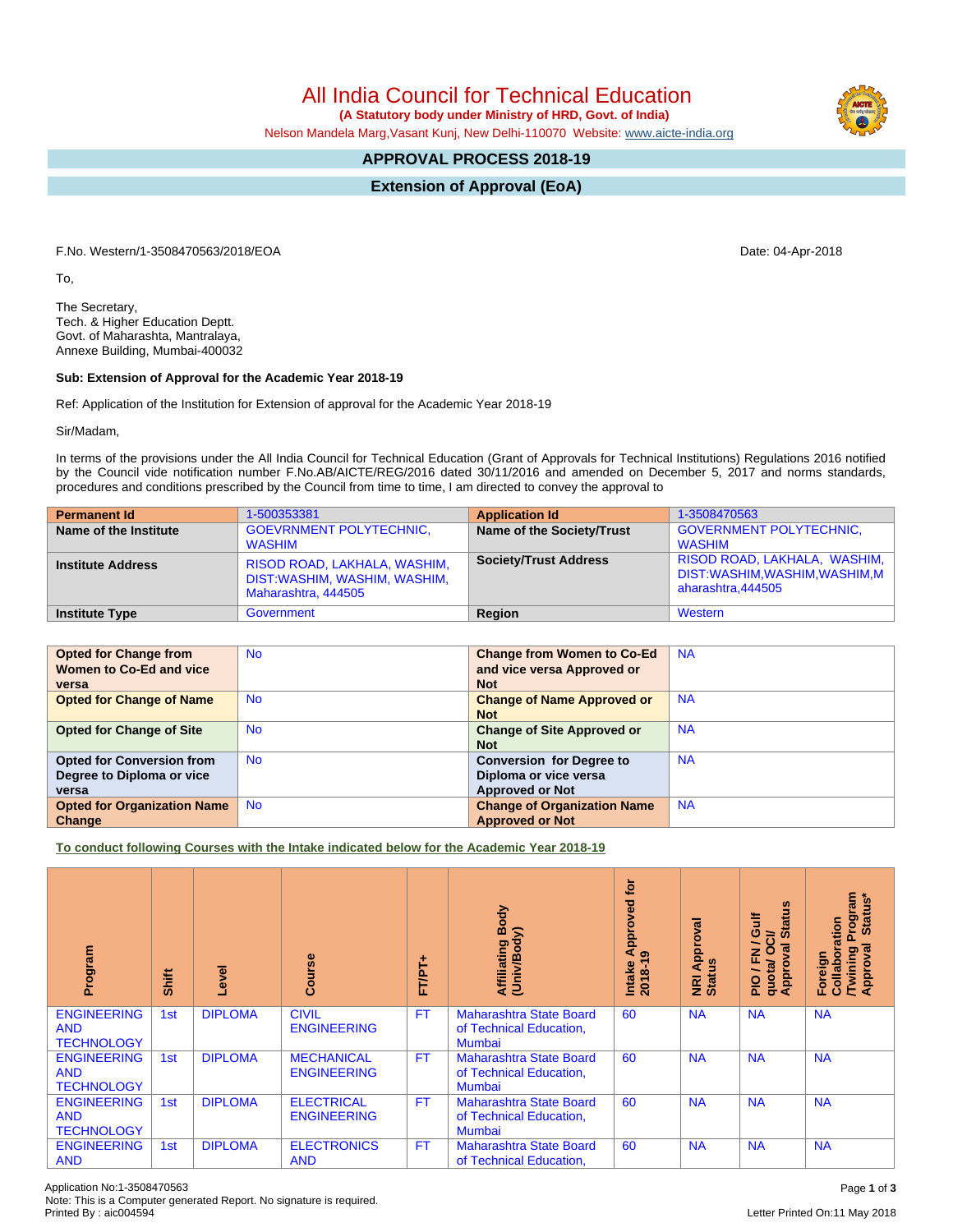Application No:1-3508470563 Page **1** of **3** Note: This is a Computer generated Report. No signature is required.

All India Council for Technical Education

 **(A Statutory body under Ministry of HRD, Govt. of India)**

Nelson Mandela Marg,Vasant Kunj, New Delhi-110070 Website: [www.aicte-india.org](http://www.aicte-india.org)

## **APPROVAL PROCESS 2018-19**

**Extension of Approval (EoA)**

F.No. Western/1-3508470563/2018/EOA Date: 04-Apr-2018

To,

The Secretary, Tech. & Higher Education Deptt. Govt. of Maharashta, Mantralaya, Annexe Building, Mumbai-400032

## **Sub: Extension of Approval for the Academic Year 2018-19**

Ref: Application of the Institution for Extension of approval for the Academic Year 2018-19

Sir/Madam,

In terms of the provisions under the All India Council for Technical Education (Grant of Approvals for Technical Institutions) Regulations 2016 notified by the Council vide notification number F.No.AB/AICTE/REG/2016 dated 30/11/2016 and amended on December 5, 2017 and norms standards, procedures and conditions prescribed by the Council from time to time, I am directed to convey the approval to

| <b>Permanent Id</b>      | 1-500353381                                                                         | <b>Application Id</b>        | 1-3508470563                                                                        |
|--------------------------|-------------------------------------------------------------------------------------|------------------------------|-------------------------------------------------------------------------------------|
| Name of the Institute    | <b>GOEVRNMENT POLYTECHNIC.</b><br>WASHIM                                            | Name of the Society/Trust    | <b>GOVERNMENT POLYTECHNIC.</b><br>WASHIM                                            |
| <b>Institute Address</b> | RISOD ROAD, LAKHALA, WASHIM,<br>DIST:WASHIM, WASHIM, WASHIM,<br>Maharashtra, 444505 | <b>Society/Trust Address</b> | RISOD ROAD, LAKHALA, WASHIM,<br>DIST:WASHIM,WASHIM,WASHIM,M  <br>aharashtra, 444505 |
| <b>Institute Type</b>    | Government                                                                          | Region                       | Western                                                                             |

| <b>Opted for Change from</b>       | <b>No</b> | <b>Change from Women to Co-Ed</b>  | <b>NA</b> |
|------------------------------------|-----------|------------------------------------|-----------|
| Women to Co-Ed and vice            |           | and vice versa Approved or         |           |
| versa                              |           | <b>Not</b>                         |           |
| <b>Opted for Change of Name</b>    | <b>No</b> | <b>Change of Name Approved or</b>  | <b>NA</b> |
|                                    |           | <b>Not</b>                         |           |
| <b>Opted for Change of Site</b>    | <b>No</b> | <b>Change of Site Approved or</b>  | <b>NA</b> |
|                                    |           | <b>Not</b>                         |           |
| <b>Opted for Conversion from</b>   | <b>No</b> | <b>Conversion for Degree to</b>    | <b>NA</b> |
| Degree to Diploma or vice          |           | Diploma or vice versa              |           |
| versa                              |           | <b>Approved or Not</b>             |           |
| <b>Opted for Organization Name</b> | <b>No</b> | <b>Change of Organization Name</b> | <b>NA</b> |
| Change                             |           | <b>Approved or Not</b>             |           |

**To conduct following Courses with the Intake indicated below for the Academic Year 2018-19**

| Program                                               | Shift | Level          | Course                                  | FT/PT+    | Affiliating Body<br>(Univ/Body)                                            | $\overline{5}$<br>Approved<br>ၜ<br>Intake<br>2018-1 | ड़<br>ō<br><b>NRI Appr</b><br>Status | 9<br>Gulf<br>ಕ<br>ø<br>∽<br>O<br>w<br>준<br>quotal<br>Appro<br>$\frac{1}{2}$ | Program<br>Status*<br>Collaboration<br>ख़<br><b>Twining</b><br>Approval<br>Foreign |
|-------------------------------------------------------|-------|----------------|-----------------------------------------|-----------|----------------------------------------------------------------------------|-----------------------------------------------------|--------------------------------------|-----------------------------------------------------------------------------|------------------------------------------------------------------------------------|
| <b>ENGINEERING</b><br><b>AND</b><br><b>TECHNOLOGY</b> | 1st   | <b>DIPLOMA</b> | <b>CIVIL</b><br><b>ENGINEERING</b>      | <b>FT</b> | <b>Maharashtra State Board</b><br>of Technical Education,<br><b>Mumbai</b> | 60                                                  | <b>NA</b>                            | <b>NA</b>                                                                   | <b>NA</b>                                                                          |
| <b>ENGINEERING</b><br><b>AND</b><br><b>TECHNOLOGY</b> | 1st   | <b>DIPLOMA</b> | <b>MECHANICAL</b><br><b>ENGINEERING</b> | <b>FT</b> | <b>Maharashtra State Board</b><br>of Technical Education,<br><b>Mumbai</b> | 60                                                  | <b>NA</b>                            | <b>NA</b>                                                                   | <b>NA</b>                                                                          |
| <b>ENGINEERING</b><br><b>AND</b><br><b>TECHNOLOGY</b> | 1st   | <b>DIPLOMA</b> | <b>ELECTRICAL</b><br><b>ENGINEERING</b> | <b>FT</b> | <b>Maharashtra State Board</b><br>of Technical Education,<br><b>Mumbai</b> | 60                                                  | <b>NA</b>                            | <b>NA</b>                                                                   | <b>NA</b>                                                                          |
| <b>ENGINEERING</b><br><b>AND</b>                      | 1st   | <b>DIPLOMA</b> | <b>ELECTRONICS</b><br><b>AND</b>        | <b>FT</b> | <b>Maharashtra State Board</b><br>of Technical Education,                  | 60                                                  | <b>NA</b>                            | <b>NA</b>                                                                   | <b>NA</b>                                                                          |

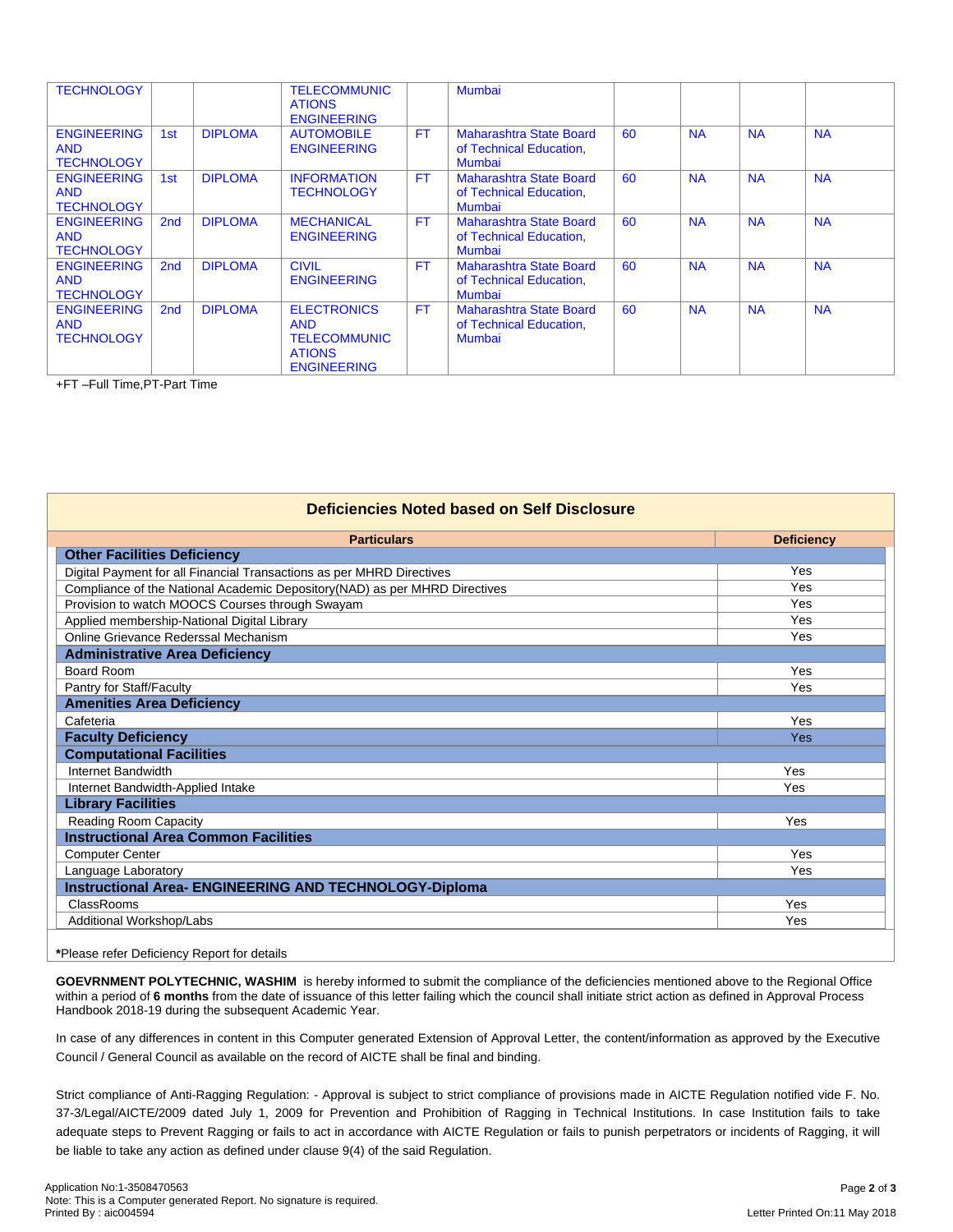| <b>TECHNOLOGY</b>  |                 |                | <b>TELECOMMUNIC</b> |           | Mumbai                         |    |           |           |           |
|--------------------|-----------------|----------------|---------------------|-----------|--------------------------------|----|-----------|-----------|-----------|
|                    |                 |                | <b>ATIONS</b>       |           |                                |    |           |           |           |
|                    |                 |                | <b>ENGINEERING</b>  |           |                                |    |           |           |           |
|                    |                 | <b>DIPLOMA</b> |                     | <b>FT</b> |                                |    |           |           |           |
| <b>ENGINEERING</b> | 1st             |                | <b>AUTOMOBILE</b>   |           | <b>Maharashtra State Board</b> | 60 | <b>NA</b> | <b>NA</b> | <b>NA</b> |
| <b>AND</b>         |                 |                | <b>ENGINEERING</b>  |           | of Technical Education,        |    |           |           |           |
| <b>TECHNOLOGY</b>  |                 |                |                     |           | <b>Mumbai</b>                  |    |           |           |           |
| <b>ENGINEERING</b> | 1 <sub>st</sub> | <b>DIPLOMA</b> | <b>INFORMATION</b>  | <b>FT</b> | <b>Maharashtra State Board</b> | 60 | <b>NA</b> | <b>NA</b> | <b>NA</b> |
| <b>AND</b>         |                 |                | <b>TECHNOLOGY</b>   |           | of Technical Education,        |    |           |           |           |
| <b>TECHNOLOGY</b>  |                 |                |                     |           | Mumbai                         |    |           |           |           |
|                    |                 |                |                     |           |                                |    |           |           |           |
| <b>ENGINEERING</b> | 2 <sub>nd</sub> | <b>DIPLOMA</b> | <b>MECHANICAL</b>   | <b>FT</b> | <b>Maharashtra State Board</b> | 60 | <b>NA</b> | <b>NA</b> | <b>NA</b> |
| <b>AND</b>         |                 |                | <b>ENGINEERING</b>  |           | of Technical Education,        |    |           |           |           |
| <b>TECHNOLOGY</b>  |                 |                |                     |           | <b>Mumbai</b>                  |    |           |           |           |
| <b>ENGINEERING</b> | 2 <sub>nd</sub> | <b>DIPLOMA</b> | <b>CIVIL</b>        | <b>FT</b> | <b>Maharashtra State Board</b> | 60 | <b>NA</b> | <b>NA</b> | <b>NA</b> |
| <b>AND</b>         |                 |                | <b>ENGINEERING</b>  |           | of Technical Education,        |    |           |           |           |
|                    |                 |                |                     |           |                                |    |           |           |           |
| <b>TECHNOLOGY</b>  |                 |                |                     |           | <b>Mumbai</b>                  |    |           |           |           |
| <b>ENGINEERING</b> | 2nd             | <b>DIPLOMA</b> | <b>ELECTRONICS</b>  | <b>FT</b> | <b>Maharashtra State Board</b> | 60 | <b>NA</b> | <b>NA</b> | <b>NA</b> |
| <b>AND</b>         |                 |                | <b>AND</b>          |           | of Technical Education,        |    |           |           |           |
| <b>TECHNOLOGY</b>  |                 |                | <b>TELECOMMUNIC</b> |           | Mumbai                         |    |           |           |           |
|                    |                 |                |                     |           |                                |    |           |           |           |
|                    |                 |                | <b>ATIONS</b>       |           |                                |    |           |           |           |
|                    |                 |                | <b>ENGINEERING</b>  |           |                                |    |           |           |           |

+FT –Full Time,PT-Part Time

| Deficiencies Noted based on Self Disclosure                                |                   |  |  |  |  |  |  |
|----------------------------------------------------------------------------|-------------------|--|--|--|--|--|--|
| <b>Particulars</b>                                                         | <b>Deficiency</b> |  |  |  |  |  |  |
| <b>Other Facilities Deficiency</b>                                         |                   |  |  |  |  |  |  |
| Digital Payment for all Financial Transactions as per MHRD Directives      | Yes               |  |  |  |  |  |  |
| Compliance of the National Academic Depository(NAD) as per MHRD Directives | Yes               |  |  |  |  |  |  |
| Provision to watch MOOCS Courses through Swayam                            | Yes               |  |  |  |  |  |  |
| Applied membership-National Digital Library                                | Yes               |  |  |  |  |  |  |
| Online Grievance Rederssal Mechanism                                       | Yes               |  |  |  |  |  |  |
| <b>Administrative Area Deficiency</b>                                      |                   |  |  |  |  |  |  |
| Board Room                                                                 | Yes               |  |  |  |  |  |  |
| Pantry for Staff/Faculty                                                   | Yes               |  |  |  |  |  |  |
| <b>Amenities Area Deficiency</b>                                           |                   |  |  |  |  |  |  |
| Cafeteria                                                                  | Yes               |  |  |  |  |  |  |
| <b>Faculty Deficiency</b>                                                  | Yes               |  |  |  |  |  |  |
| <b>Computational Facilities</b>                                            |                   |  |  |  |  |  |  |
| Internet Bandwidth                                                         | Yes               |  |  |  |  |  |  |
| Internet Bandwidth-Applied Intake                                          | Yes               |  |  |  |  |  |  |
| <b>Library Facilities</b>                                                  |                   |  |  |  |  |  |  |
| Reading Room Capacity                                                      | Yes               |  |  |  |  |  |  |
| <b>Instructional Area Common Facilities</b>                                |                   |  |  |  |  |  |  |
| <b>Computer Center</b>                                                     | Yes               |  |  |  |  |  |  |
| Language Laboratory                                                        | Yes               |  |  |  |  |  |  |
| <b>Instructional Area- ENGINEERING AND TECHNOLOGY-Diploma</b>              |                   |  |  |  |  |  |  |
| ClassRooms                                                                 | Yes               |  |  |  |  |  |  |
| Additional Workshop/Labs<br>Yes                                            |                   |  |  |  |  |  |  |

## **\***Please refer Deficiency Report for details

**GOEVRNMENT POLYTECHNIC, WASHIM** is hereby informed to submit the compliance of the deficiencies mentioned above to the Regional Office within a period of **6 months** from the date of issuance of this letter failing which the council shall initiate strict action as defined in Approval Process Handbook 2018-19 during the subsequent Academic Year.

In case of any differences in content in this Computer generated Extension of Approval Letter, the content/information as approved by the Executive Council / General Council as available on the record of AICTE shall be final and binding.

Strict compliance of Anti-Ragging Regulation: - Approval is subject to strict compliance of provisions made in AICTE Regulation notified vide F. No. 37-3/Legal/AICTE/2009 dated July 1, 2009 for Prevention and Prohibition of Ragging in Technical Institutions. In case Institution fails to take adequate steps to Prevent Ragging or fails to act in accordance with AICTE Regulation or fails to punish perpetrators or incidents of Ragging, it will be liable to take any action as defined under clause 9(4) of the said Regulation.